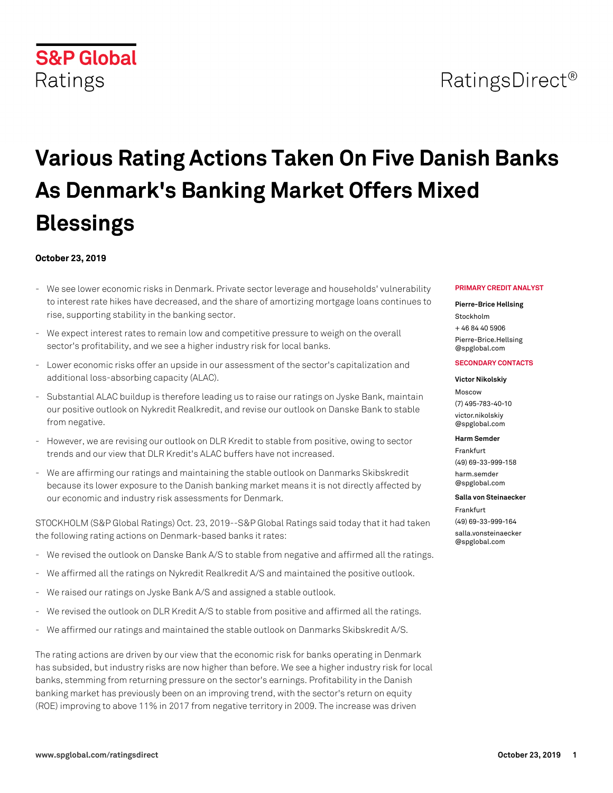## RatingsDirect<sup>®</sup>

# **Various Rating Actions Taken On Five Danish Banks As Denmark's Banking Market Offers Mixed Blessings**

### **October 23, 2019**

- We see lower economic risks in Denmark. Private sector leverage and households' vulnerability to interest rate hikes have decreased, and the share of amortizing mortgage loans continues to rise, supporting stability in the banking sector.
- We expect interest rates to remain low and competitive pressure to weigh on the overall sector's profitability, and we see a higher industry risk for local banks.
- Lower economic risks offer an upside in our assessment of the sector's capitalization and additional loss-absorbing capacity (ALAC).
- Substantial ALAC buildup is therefore leading us to raise our ratings on Jyske Bank, maintain our positive outlook on Nykredit Realkredit, and revise our outlook on Danske Bank to stable from negative.
- However, we are revising our outlook on DLR Kredit to stable from positive, owing to sector trends and our view that DLR Kredit's ALAC buffers have not increased.
- We are affirming our ratings and maintaining the stable outlook on Danmarks Skibskredit because its lower exposure to the Danish banking market means it is not directly affected by our economic and industry risk assessments for Denmark.

STOCKHOLM (S&P Global Ratings) Oct. 23, 2019--S&P Global Ratings said today that it had taken the following rating actions on Denmark-based banks it rates:

- We revised the outlook on Danske Bank A/S to stable from negative and affirmed all the ratings.
- We affirmed all the ratings on Nykredit Realkredit A/S and maintained the positive outlook.
- We raised our ratings on Jyske Bank A/S and assigned a stable outlook.
- We revised the outlook on DLR Kredit A/S to stable from positive and affirmed all the ratings.
- We affirmed our ratings and maintained the stable outlook on Danmarks Skibskredit A/S.

The rating actions are driven by our view that the economic risk for banks operating in Denmark has subsided, but industry risks are now higher than before. We see a higher industry risk for local banks, stemming from returning pressure on the sector's earnings. Profitability in the Danish banking market has previously been on an improving trend, with the sector's return on equity (ROE) improving to above 11% in 2017 from negative territory in 2009. The increase was driven

#### **PRIMARY CREDIT ANALYST**

#### **Pierre-Brice Hellsing**

Stockholm + 46 84 40 5906 [Pierre-Brice.Hellsing](mailto: Pierre-Brice.Hellsing@spglobal.com) [@spglobal.com](mailto: Pierre-Brice.Hellsing@spglobal.com)

#### **SECONDARY CONTACTS**

## **Victor Nikolskiy**

Moscow (7) 495-783-40-10 [victor.nikolskiy](mailto: victor.nikolskiy@spglobal.com) [@spglobal.com](mailto: victor.nikolskiy@spglobal.com)

#### **Harm Semder**

Frankfurt (49) 69-33-999-158 [harm.semder](mailto: harm.semder@spglobal.com) [@spglobal.com](mailto: harm.semder@spglobal.com)

#### **Salla von Steinaecker**

Frankfurt (49) 69-33-999-164 [salla.vonsteinaecker](mailto: salla.vonsteinaecker@spglobal.com) [@spglobal.com](mailto: salla.vonsteinaecker@spglobal.com)

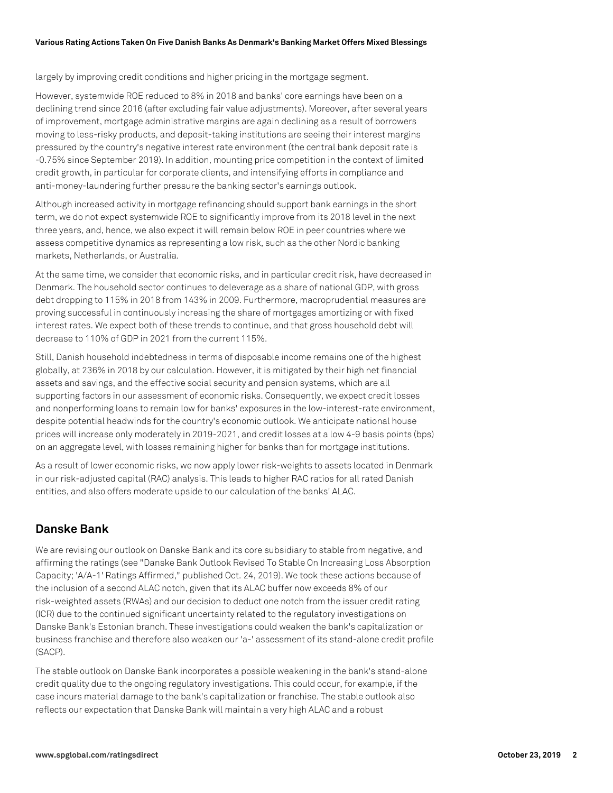largely by improving credit conditions and higher pricing in the mortgage segment.

However, systemwide ROE reduced to 8% in 2018 and banks' core earnings have been on a declining trend since 2016 (after excluding fair value adjustments). Moreover, after several years of improvement, mortgage administrative margins are again declining as a result of borrowers moving to less-risky products, and deposit-taking institutions are seeing their interest margins pressured by the country's negative interest rate environment (the central bank deposit rate is -0.75% since September 2019). In addition, mounting price competition in the context of limited credit growth, in particular for corporate clients, and intensifying efforts in compliance and anti-money-laundering further pressure the banking sector's earnings outlook.

Although increased activity in mortgage refinancing should support bank earnings in the short term, we do not expect systemwide ROE to significantly improve from its 2018 level in the next three years, and, hence, we also expect it will remain below ROE in peer countries where we assess competitive dynamics as representing a low risk, such as the other Nordic banking markets, Netherlands, or Australia.

At the same time, we consider that economic risks, and in particular credit risk, have decreased in Denmark. The household sector continues to deleverage as a share of national GDP, with gross debt dropping to 115% in 2018 from 143% in 2009. Furthermore, macroprudential measures are proving successful in continuously increasing the share of mortgages amortizing or with fixed interest rates. We expect both of these trends to continue, and that gross household debt will decrease to 110% of GDP in 2021 from the current 115%.

Still, Danish household indebtedness in terms of disposable income remains one of the highest globally, at 236% in 2018 by our calculation. However, it is mitigated by their high net financial assets and savings, and the effective social security and pension systems, which are all supporting factors in our assessment of economic risks. Consequently, we expect credit losses and nonperforming loans to remain low for banks' exposures in the low-interest-rate environment, despite potential headwinds for the country's economic outlook. We anticipate national house prices will increase only moderately in 2019-2021, and credit losses at a low 4-9 basis points (bps) on an aggregate level, with losses remaining higher for banks than for mortgage institutions.

As a result of lower economic risks, we now apply lower risk-weights to assets located in Denmark in our risk-adjusted capital (RAC) analysis. This leads to higher RAC ratios for all rated Danish entities, and also offers moderate upside to our calculation of the banks' ALAC.

## **Danske Bank**

We are revising our outlook on Danske Bank and its core subsidiary to stable from negative, and affirming the ratings (see "Danske Bank Outlook Revised To Stable On Increasing Loss Absorption Capacity; 'A/A-1' Ratings Affirmed," published Oct. 24, 2019). We took these actions because of the inclusion of a second ALAC notch, given that its ALAC buffer now exceeds 8% of our risk-weighted assets (RWAs) and our decision to deduct one notch from the issuer credit rating (ICR) due to the continued significant uncertainty related to the regulatory investigations on Danske Bank's Estonian branch. These investigations could weaken the bank's capitalization or business franchise and therefore also weaken our 'a-' assessment of its stand-alone credit profile (SACP).

The stable outlook on Danske Bank incorporates a possible weakening in the bank's stand-alone credit quality due to the ongoing regulatory investigations. This could occur, for example, if the case incurs material damage to the bank's capitalization or franchise. The stable outlook also reflects our expectation that Danske Bank will maintain a very high ALAC and a robust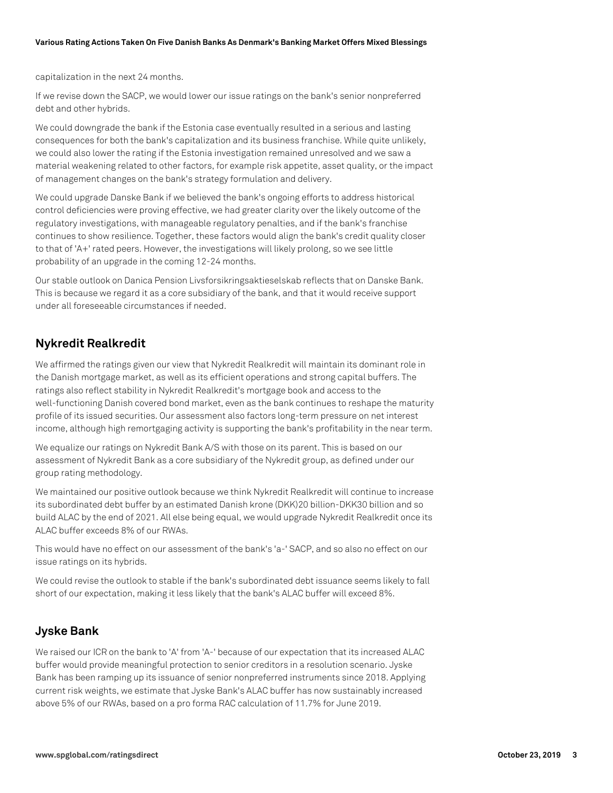capitalization in the next 24 months.

If we revise down the SACP, we would lower our issue ratings on the bank's senior nonpreferred debt and other hybrids.

We could downgrade the bank if the Estonia case eventually resulted in a serious and lasting consequences for both the bank's capitalization and its business franchise. While quite unlikely, we could also lower the rating if the Estonia investigation remained unresolved and we saw a material weakening related to other factors, for example risk appetite, asset quality, or the impact of management changes on the bank's strategy formulation and delivery.

We could upgrade Danske Bank if we believed the bank's ongoing efforts to address historical control deficiencies were proving effective, we had greater clarity over the likely outcome of the regulatory investigations, with manageable regulatory penalties, and if the bank's franchise continues to show resilience. Together, these factors would align the bank's credit quality closer to that of 'A+' rated peers. However, the investigations will likely prolong, so we see little probability of an upgrade in the coming 12-24 months.

Our stable outlook on Danica Pension Livsforsikringsaktieselskab reflects that on Danske Bank. This is because we regard it as a core subsidiary of the bank, and that it would receive support under all foreseeable circumstances if needed.

## **Nykredit Realkredit**

We affirmed the ratings given our view that Nykredit Realkredit will maintain its dominant role in the Danish mortgage market, as well as its efficient operations and strong capital buffers. The ratings also reflect stability in Nykredit Realkredit's mortgage book and access to the well-functioning Danish covered bond market, even as the bank continues to reshape the maturity profile of its issued securities. Our assessment also factors long-term pressure on net interest income, although high remortgaging activity is supporting the bank's profitability in the near term.

We equalize our ratings on Nykredit Bank A/S with those on its parent. This is based on our assessment of Nykredit Bank as a core subsidiary of the Nykredit group, as defined under our group rating methodology.

We maintained our positive outlook because we think Nykredit Realkredit will continue to increase its subordinated debt buffer by an estimated Danish krone (DKK)20 billion-DKK30 billion and so build ALAC by the end of 2021. All else being equal, we would upgrade Nykredit Realkredit once its ALAC buffer exceeds 8% of our RWAs.

This would have no effect on our assessment of the bank's 'a-' SACP, and so also no effect on our issue ratings on its hybrids.

We could revise the outlook to stable if the bank's subordinated debt issuance seems likely to fall short of our expectation, making it less likely that the bank's ALAC buffer will exceed 8%.

## **Jyske Bank**

We raised our ICR on the bank to 'A' from 'A-' because of our expectation that its increased ALAC buffer would provide meaningful protection to senior creditors in a resolution scenario. Jyske Bank has been ramping up its issuance of senior nonpreferred instruments since 2018. Applying current risk weights, we estimate that Jyske Bank's ALAC buffer has now sustainably increased above 5% of our RWAs, based on a pro forma RAC calculation of 11.7% for June 2019.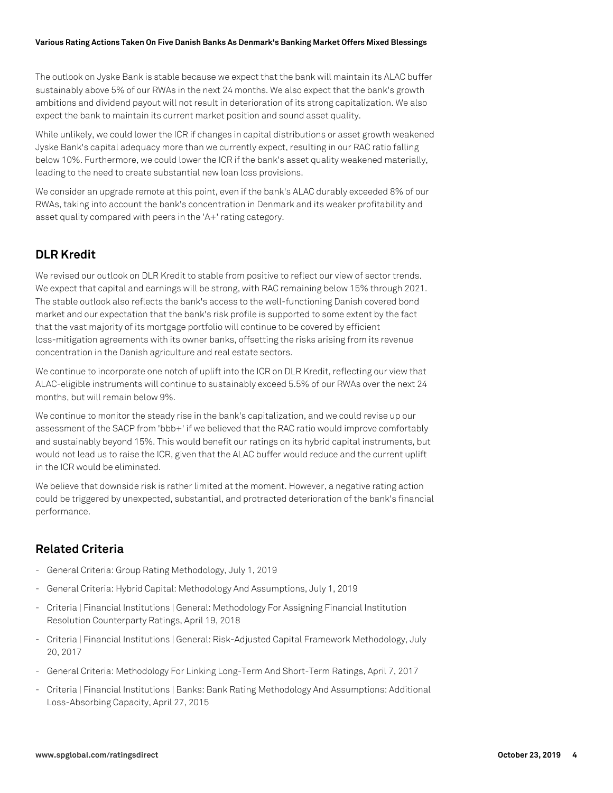The outlook on Jyske Bank is stable because we expect that the bank will maintain its ALAC buffer sustainably above 5% of our RWAs in the next 24 months. We also expect that the bank's growth ambitions and dividend payout will not result in deterioration of its strong capitalization. We also expect the bank to maintain its current market position and sound asset quality.

While unlikely, we could lower the ICR if changes in capital distributions or asset growth weakened Jyske Bank's capital adequacy more than we currently expect, resulting in our RAC ratio falling below 10%. Furthermore, we could lower the ICR if the bank's asset quality weakened materially, leading to the need to create substantial new loan loss provisions.

We consider an upgrade remote at this point, even if the bank's ALAC durably exceeded 8% of our RWAs, taking into account the bank's concentration in Denmark and its weaker profitability and asset quality compared with peers in the 'A+' rating category.

## **DLR Kredit**

We revised our outlook on DLR Kredit to stable from positive to reflect our view of sector trends. We expect that capital and earnings will be strong, with RAC remaining below 15% through 2021. The stable outlook also reflects the bank's access to the well-functioning Danish covered bond market and our expectation that the bank's risk profile is supported to some extent by the fact that the vast majority of its mortgage portfolio will continue to be covered by efficient loss-mitigation agreements with its owner banks, offsetting the risks arising from its revenue concentration in the Danish agriculture and real estate sectors.

We continue to incorporate one notch of uplift into the ICR on DLR Kredit, reflecting our view that ALAC-eligible instruments will continue to sustainably exceed 5.5% of our RWAs over the next 24 months, but will remain below 9%.

We continue to monitor the steady rise in the bank's capitalization, and we could revise up our assessment of the SACP from 'bbb+' if we believed that the RAC ratio would improve comfortably and sustainably beyond 15%. This would benefit our ratings on its hybrid capital instruments, but would not lead us to raise the ICR, given that the ALAC buffer would reduce and the current uplift in the ICR would be eliminated.

We believe that downside risk is rather limited at the moment. However, a negative rating action could be triggered by unexpected, substantial, and protracted deterioration of the bank's financial performance.

## **Related Criteria**

- General Criteria: Group Rating Methodology, July 1, 2019
- General Criteria: Hybrid Capital: Methodology And Assumptions, July 1, 2019
- Criteria | Financial Institutions | General: Methodology For Assigning Financial Institution Resolution Counterparty Ratings, April 19, 2018
- Criteria | Financial Institutions | General: Risk-Adjusted Capital Framework Methodology, July 20, 2017
- General Criteria: Methodology For Linking Long-Term And Short-Term Ratings, April 7, 2017
- Criteria | Financial Institutions | Banks: Bank Rating Methodology And Assumptions: Additional Loss-Absorbing Capacity, April 27, 2015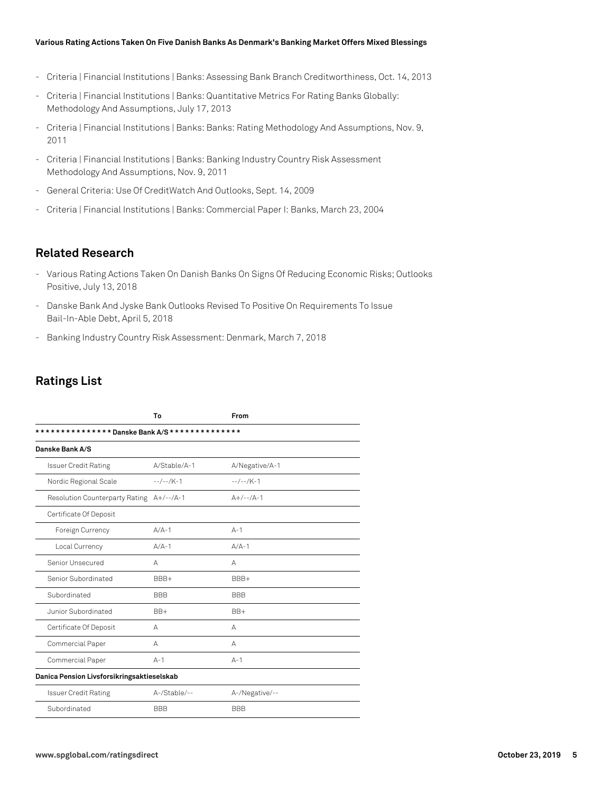- Criteria | Financial Institutions | Banks: Assessing Bank Branch Creditworthiness, Oct. 14, 2013
- Criteria | Financial Institutions | Banks: Quantitative Metrics For Rating Banks Globally: Methodology And Assumptions, July 17, 2013
- Criteria | Financial Institutions | Banks: Banks: Rating Methodology And Assumptions, Nov. 9, 2011
- Criteria | Financial Institutions | Banks: Banking Industry Country Risk Assessment Methodology And Assumptions, Nov. 9, 2011
- General Criteria: Use Of CreditWatch And Outlooks, Sept. 14, 2009
- Criteria | Financial Institutions | Banks: Commercial Paper I: Banks, March 23, 2004

## **Related Research**

- Various Rating Actions Taken On Danish Banks On Signs Of Reducing Economic Risks; Outlooks Positive, July 13, 2018
- Danske Bank And Jyske Bank Outlooks Revised To Positive On Requirements To Issue Bail-In-Able Debt, April 5, 2018
- Banking Industry Country Risk Assessment: Denmark, March 7, 2018

## **Ratings List**

|                                                | To           | From           |  |  |  |  |
|------------------------------------------------|--------------|----------------|--|--|--|--|
| *************** Danske Bank A/S ************** |              |                |  |  |  |  |
| Danske Bank A/S                                |              |                |  |  |  |  |
| <b>Issuer Credit Rating</b>                    | A/Stable/A-1 | A/Negative/A-1 |  |  |  |  |
| Nordic Regional Scale                          | $-$ -/--/K-1 | $-$ -/--/K-1   |  |  |  |  |
| Resolution Counterparty Rating A+/--/A-1       |              | $A+/--/A-1$    |  |  |  |  |
| Certificate Of Deposit                         |              |                |  |  |  |  |
| Foreign Currency                               | $A/A-1$      | $A - 1$        |  |  |  |  |
| Local Currency                                 | $A/A-1$      | $A/A-1$        |  |  |  |  |
| Senior Unsecured                               | А            | А              |  |  |  |  |
| Senior Subordinated                            | BBB+         | BBB+           |  |  |  |  |
| Subordinated                                   | <b>BBB</b>   | <b>BBB</b>     |  |  |  |  |
| Junior Subordinated                            | $BB+$        | $BB+$          |  |  |  |  |
| Certificate Of Deposit                         | А            | А              |  |  |  |  |
| Commercial Paper                               | A            | А              |  |  |  |  |
| Commercial Paper                               | $A-1$        | $A-1$          |  |  |  |  |
| Danica Pension Livsforsikringsaktieselskab     |              |                |  |  |  |  |
| <b>Issuer Credit Rating</b>                    | A-/Stable/-- | A-/Negative/-- |  |  |  |  |
| Subordinated                                   | <b>BBB</b>   | <b>BBB</b>     |  |  |  |  |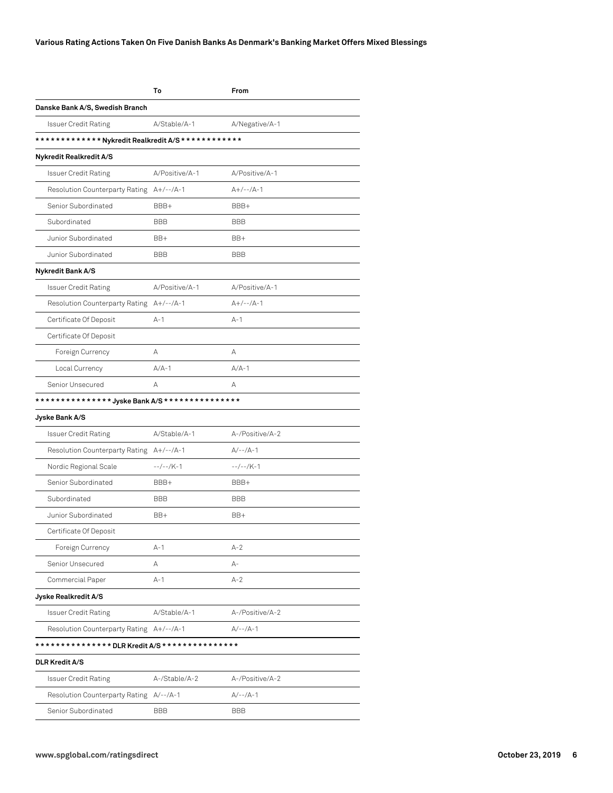|                                                                  | To             | From            |
|------------------------------------------------------------------|----------------|-----------------|
| Danske Bank A/S, Swedish Branch                                  |                |                 |
| Issuer Credit Rating                                             | A/Stable/A-1   | A/Negative/A-1  |
| ************ * Nykredit Realkredit A/S * * * * * * * * * * * * * |                |                 |
| Nykredit Realkredit A/S                                          |                |                 |
| Issuer Credit Rating                                             | A/Positive/A-1 | A/Positive/A-1  |
| Resolution Counterparty Rating A+/--/A-1                         |                | $A+/--/A-1$     |
| Senior Subordinated                                              | BBB+           | BBB+            |
| Subordinated                                                     | <b>BBB</b>     | <b>BBB</b>      |
| Junior Subordinated                                              | BB+            | BB+             |
| Junior Subordinated                                              | <b>BBB</b>     | <b>BBB</b>      |
| Nykredit Bank A/S                                                |                |                 |
| <b>Issuer Credit Rating</b>                                      | A/Positive/A-1 | A/Positive/A-1  |
| Resolution Counterparty Rating A+/--/A-1                         |                | $A+/--/A-1$     |
| Certificate Of Deposit                                           | A-1            | $A-1$           |
| Certificate Of Deposit                                           |                |                 |
| Foreign Currency                                                 | А              | A               |
| Local Currency                                                   | $A/A-1$        | $A/A-1$         |
| Senior Unsecured                                                 | А              | А               |
| *************** Jyske Bank A/S ***************                   |                |                 |
| Jyske Bank A/S                                                   |                |                 |
| <b>Issuer Credit Rating</b>                                      | A/Stable/A-1   | A-/Positive/A-2 |
| Resolution Counterparty Rating A+/--/A-1                         |                | $A/-- /A-1$     |
| Nordic Regional Scale                                            | $-/-$ /K-1     | $-/-$ /K-1      |
| Senior Subordinated                                              | BBB+           | BBB+            |
| Subordinated                                                     | <b>BBB</b>     | BBB             |
| Junior Subordinated                                              | BB+            | BB+             |
| Certificate Of Deposit                                           |                |                 |
| Foreign Currency                                                 | $A-1$          | $A-2$           |
| Senior Unsecured                                                 | Α              | А-              |
| Commercial Paper                                                 | $A-1$          | $A-2$           |
| Jyske Realkredit A/S                                             |                |                 |
| <b>Issuer Credit Rating</b>                                      | A/Stable/A-1   | A-/Positive/A-2 |
| Resolution Counterparty Rating A+/--/A-1                         |                | $A/-- /A-1$     |
| *************** DLR Kredit A/S ***************                   |                |                 |
| <b>DLR Kredit A/S</b>                                            |                |                 |
| <b>Issuer Credit Rating</b>                                      | A-/Stable/A-2  | A-/Positive/A-2 |
| Resolution Counterparty Rating A/--/A-1                          |                | $A/-- /A-1$     |
| Senior Subordinated                                              | <b>BBB</b>     | <b>BBB</b>      |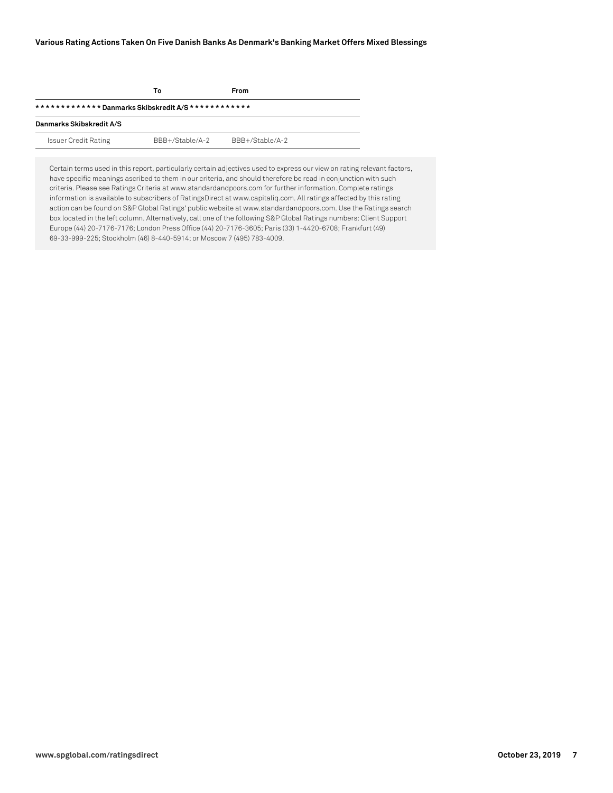|                             | Т٥              | From            |  |  |  |  |
|-----------------------------|-----------------|-----------------|--|--|--|--|
|                             |                 |                 |  |  |  |  |
| Danmarks Skibskredit A/S    |                 |                 |  |  |  |  |
| <b>Issuer Credit Rating</b> | BBB+/Stable/A-2 | BBB+/Stable/A-2 |  |  |  |  |

Certain terms used in this report, particularly certain adjectives used to express our view on rating relevant factors, have specific meanings ascribed to them in our criteria, and should therefore be read in conjunction with such criteria. Please see Ratings Criteria at www.standardandpoors.com for further information. Complete ratings information is available to subscribers of RatingsDirect at www.capitaliq.com. All ratings affected by this rating action can be found on S&P Global Ratings' public website at www.standardandpoors.com. Use the Ratings search box located in the left column. Alternatively, call one of the following S&P Global Ratings numbers: Client Support Europe (44) 20-7176-7176; London Press Office (44) 20-7176-3605; Paris (33) 1-4420-6708; Frankfurt (49) 69-33-999-225; Stockholm (46) 8-440-5914; or Moscow 7 (495) 783-4009.